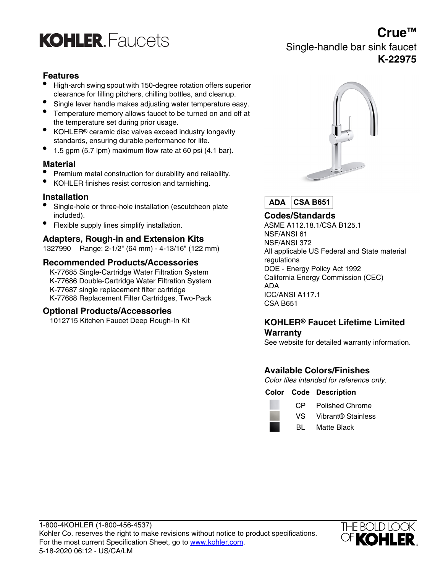

## **Crue™** Single-handle bar sink faucet

#### **K-22975**

### **Features**

- High-arch swing spout with 150-degree rotation offers superior clearance for filling pitchers, chilling bottles, and cleanup.
- Single lever handle makes adjusting water temperature easy.
- Temperature memory allows faucet to be turned on and off at the temperature set during prior usage.
- KOHLER<sup>®</sup> ceramic disc valves exceed industry longevity standards, ensuring durable performance for life.
- 1.5 gpm (5.7 lpm) maximum flow rate at 60 psi (4.1 bar).

#### **Material**

- Premium metal construction for durability and reliability.
- KOHLER finishes resist corrosion and tarnishing.

#### **Installation**

- Single-hole or three-hole installation (escutcheon plate included). **Codes/Standards**
- Flexible supply lines simplify installation. ASME A112.18.1/CSA B125.1

# Adapters, Rough-in and Extension Kits **NSF/ANSI 61 Adapters, Rough-in and Extension Kits**

1327990 Range: 2-1/2" (64 mm) - 4-13/16" (122 mm) All applicable US Federal and State material

# **Recommended Products/Accessories**<br>Exercise Single Cartidge Water Filtration System **Record Controls**<br>DOE - Energy Policy Act 1992

K-77685 Single-Cartridge Water Filtration System<br>K-77696 Double Cartridge Water Filtration System California Energy Commission (CEC) K-77686 Double-Cartridge Water Filtration System California Energy<br>
K-77687 single replacement filter cartridge ADA ICC/ANSI A117.1<br>
K-77688 Replacement Filter Cartridges, Two-Pack CSA B651

#### **Optional Products/Accessories**



**CSA B651 ADA** 

### 1012715 Kitchen Faucet Deep Rough-In Kit **KOHLER® Faucet Lifetime Limited Warranty**

See website for detailed warranty information.

### **Available Colors/Finishes**

Color tiles intended for reference only.

#### **Color Code Description**

CP Polished Chrome

- VS Vibrant® Stainless
- BL Matte Black